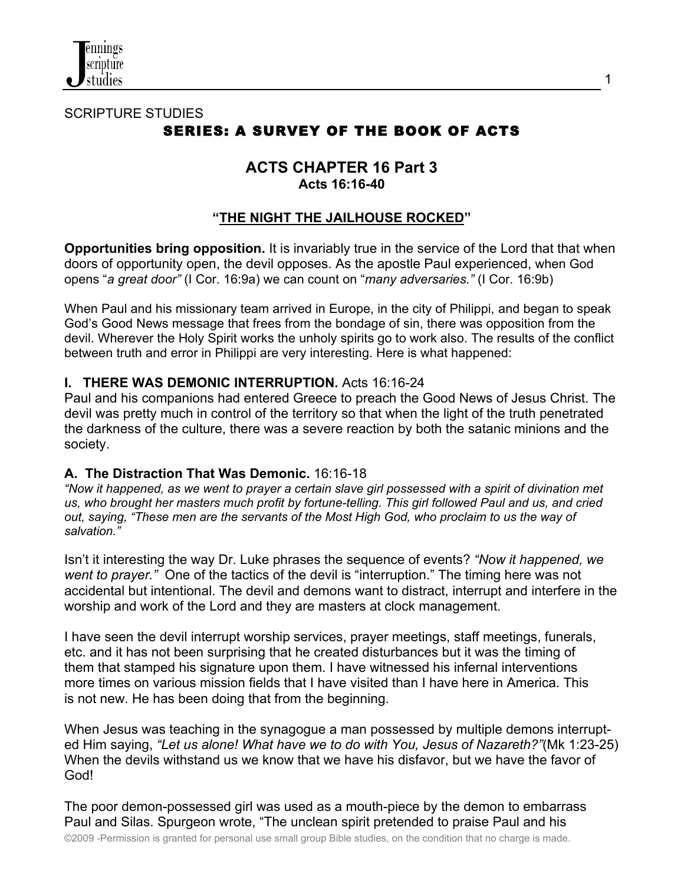

# SCRIPTURE STUDIES SERIES: A SURVEY OF THE BOOK OF ACTS

## **ACTS CHAPTER 16 Part 3 Acts 16:16-40**

## **"THE NIGHT THE JAILHOUSE ROCKED"**

**Opportunities bring opposition.** It is invariably true in the service of the Lord that that when doors of opportunity open, the devil opposes. As the apostle Paul experienced, when God opens "*a great door"* (I Cor. 16:9a) we can count on "*many adversaries."* (I Cor. 16:9b)

When Paul and his missionary team arrived in Europe, in the city of Philippi, and began to speak God's Good News message that frees from the bondage of sin, there was opposition from the devil. Wherever the Holy Spirit works the unholy spirits go to work also. The results of the conflict between truth and error in Philippi are very interesting. Here is what happened:

## **I. THERE WAS DEMONIC INTERRUPTION.** Acts 16:16-24

Paul and his companions had entered Greece to preach the Good News of Jesus Christ. The devil was pretty much in control of the territory so that when the light of the truth penetrated the darkness of the culture, there was a severe reaction by both the satanic minions and the society.

#### **A. The Distraction That Was Demonic.** 16:16-18

*"Now it happened, as we went to prayer a certain slave girl possessed with a spirit of divination met us, who brought her masters much profit by fortune-telling. This girl followed Paul and us, and cried out, saying, "These men are the servants of the Most High God, who proclaim to us the way of salvation."*

Isn't it interesting the way Dr. Luke phrases the sequence of events? *"Now it happened, we went to prayer."* One of the tactics of the devil is "interruption." The timing here was not accidental but intentional. The devil and demons want to distract, interrupt and interfere in the worship and work of the Lord and they are masters at clock management.

I have seen the devil interrupt worship services, prayer meetings, staff meetings, funerals, etc. and it has not been surprising that he created disturbances but it was the timing of them that stamped his signature upon them. I have witnessed his infernal interventions more times on various mission fields that I have visited than I have here in America. This is not new. He has been doing that from the beginning.

When Jesus was teaching in the synagogue a man possessed by multiple demons interrupted Him saying, *"Let us alone! What have we to do with You, Jesus of Nazareth?"*(Mk 1:23-25) When the devils withstand us we know that we have his disfavor, but we have the favor of God!

The poor demon-possessed girl was used as a mouth-piece by the demon to embarrass Paul and Silas. Spurgeon wrote, "The unclean spirit pretended to praise Paul and his

©2009 -Permission is granted for personal use small group Bible studies, on the condition that no charge is made.

1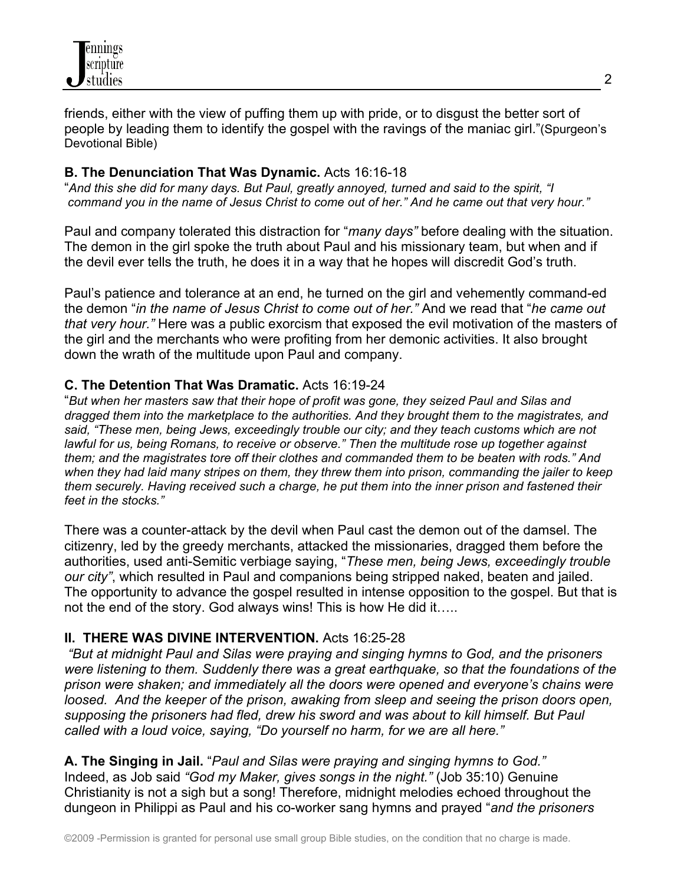

friends, either with the view of puffing them up with pride, or to disgust the better sort of people by leading them to identify the gospel with the ravings of the maniac girl."(Spurgeon's Devotional Bible)

## **B. The Denunciation That Was Dynamic.** Acts 16:16-18

"*And this she did for many days. But Paul, greatly annoyed, turned and said to the spirit, "I command you in the name of Jesus Christ to come out of her." And he came out that very hour."*

Paul and company tolerated this distraction for "*many days"* before dealing with the situation. The demon in the girl spoke the truth about Paul and his missionary team, but when and if the devil ever tells the truth, he does it in a way that he hopes will discredit God's truth.

Paul's patience and tolerance at an end, he turned on the girl and vehemently command-ed the demon "*in the name of Jesus Christ to come out of her."* And we read that "*he came out that very hour."* Here was a public exorcism that exposed the evil motivation of the masters of the girl and the merchants who were profiting from her demonic activities. It also brought down the wrath of the multitude upon Paul and company.

## **C. The Detention That Was Dramatic.** Acts 16:19-24

"*But when her masters saw that their hope of profit was gone, they seized Paul and Silas and dragged them into the marketplace to the authorities. And they brought them to the magistrates, and said, "These men, being Jews, exceedingly trouble our city; and they teach customs which are not lawful for us, being Romans, to receive or observe." Then the multitude rose up together against them; and the magistrates tore off their clothes and commanded them to be beaten with rods." And when they had laid many stripes on them, they threw them into prison, commanding the jailer to keep them securely. Having received such a charge, he put them into the inner prison and fastened their feet in the stocks."*

There was a counter-attack by the devil when Paul cast the demon out of the damsel. The citizenry, led by the greedy merchants, attacked the missionaries, dragged them before the authorities, used anti-Semitic verbiage saying, "*These men, being Jews, exceedingly trouble our city"*, which resulted in Paul and companions being stripped naked, beaten and jailed. The opportunity to advance the gospel resulted in intense opposition to the gospel. But that is not the end of the story. God always wins! This is how He did it…..

#### **II. THERE WAS DIVINE INTERVENTION.** Acts 16:25-28

 *"But at midnight Paul and Silas were praying and singing hymns to God, and the prisoners were listening to them. Suddenly there was a great earthquake, so that the foundations of the prison were shaken; and immediately all the doors were opened and everyone's chains were loosed.* And the keeper of the prison, awaking from sleep and seeing the prison doors open, *supposing the prisoners had fled, drew his sword and was about to kill himself. But Paul called with a loud voice, saying, "Do yourself no harm, for we are all here."*

**A. The Singing in Jail.** "*Paul and Silas were praying and singing hymns to God."* Indeed, as Job said *"God my Maker, gives songs in the night."* (Job 35:10) Genuine Christianity is not a sigh but a song! Therefore, midnight melodies echoed throughout the dungeon in Philippi as Paul and his co-worker sang hymns and prayed "*and the prisoners*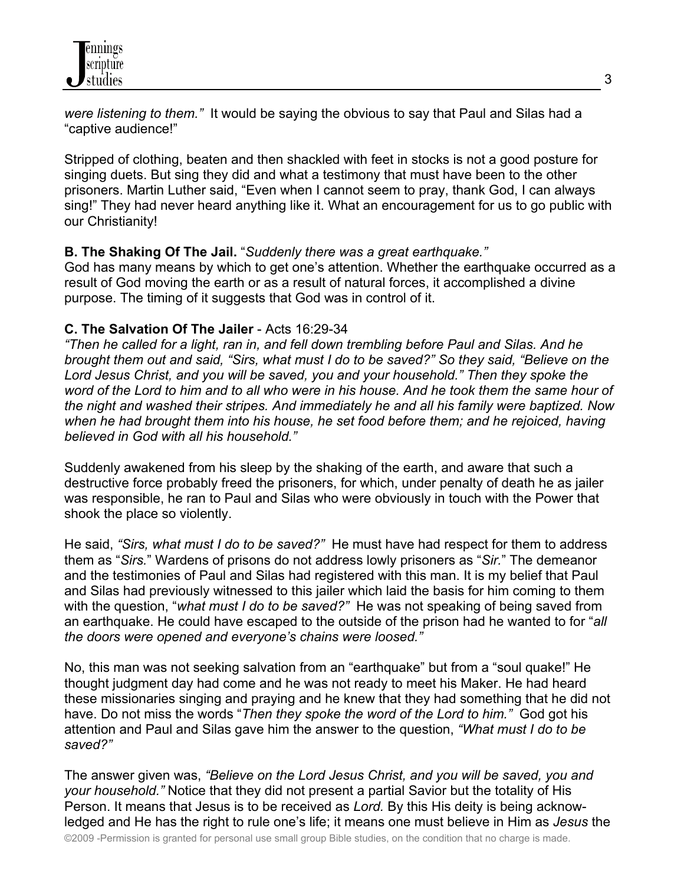*were listening to them."* It would be saying the obvious to say that Paul and Silas had a "captive audience!"

Stripped of clothing, beaten and then shackled with feet in stocks is not a good posture for singing duets. But sing they did and what a testimony that must have been to the other prisoners. Martin Luther said, "Even when I cannot seem to pray, thank God, I can always sing!" They had never heard anything like it. What an encouragement for us to go public with our Christianity!

## **B. The Shaking Of The Jail.** "*Suddenly there was a great earthquake."*

God has many means by which to get one's attention. Whether the earthquake occurred as a result of God moving the earth or as a result of natural forces, it accomplished a divine purpose. The timing of it suggests that God was in control of it.

## **C. The Salvation Of The Jailer** - Acts 16:29-34

*"Then he called for a light, ran in, and fell down trembling before Paul and Silas. And he brought them out and said, "Sirs, what must I do to be saved?" So they said, "Believe on the Lord Jesus Christ, and you will be saved, you and your household." Then they spoke the word of the Lord to him and to all who were in his house. And he took them the same hour of the night and washed their stripes. And immediately he and all his family were baptized. Now*  when he had brought them into his house, he set food before them; and he rejoiced, having *believed in God with all his household."*

Suddenly awakened from his sleep by the shaking of the earth, and aware that such a destructive force probably freed the prisoners, for which, under penalty of death he as jailer was responsible, he ran to Paul and Silas who were obviously in touch with the Power that shook the place so violently.

He said, *"Sirs, what must I do to be saved?"* He must have had respect for them to address them as "*Sirs.*" Wardens of prisons do not address lowly prisoners as "*Sir.*" The demeanor and the testimonies of Paul and Silas had registered with this man. It is my belief that Paul and Silas had previously witnessed to this jailer which laid the basis for him coming to them with the question, "*what must I do to be saved?"* He was not speaking of being saved from an earthquake. He could have escaped to the outside of the prison had he wanted to for "*all the doors were opened and everyone's chains were loosed."*

No, this man was not seeking salvation from an "earthquake" but from a "soul quake!" He thought judgment day had come and he was not ready to meet his Maker. He had heard these missionaries singing and praying and he knew that they had something that he did not have. Do not miss the words "*Then they spoke the word of the Lord to him."* God got his attention and Paul and Silas gave him the answer to the question, *"What must I do to be saved?"*

The answer given was, *"Believe on the Lord Jesus Christ, and you will be saved, you and your household."* Notice that they did not present a partial Savior but the totality of His Person. It means that Jesus is to be received as *Lord.* By this His deity is being acknowledged and He has the right to rule one's life; it means one must believe in Him as *Jesus* the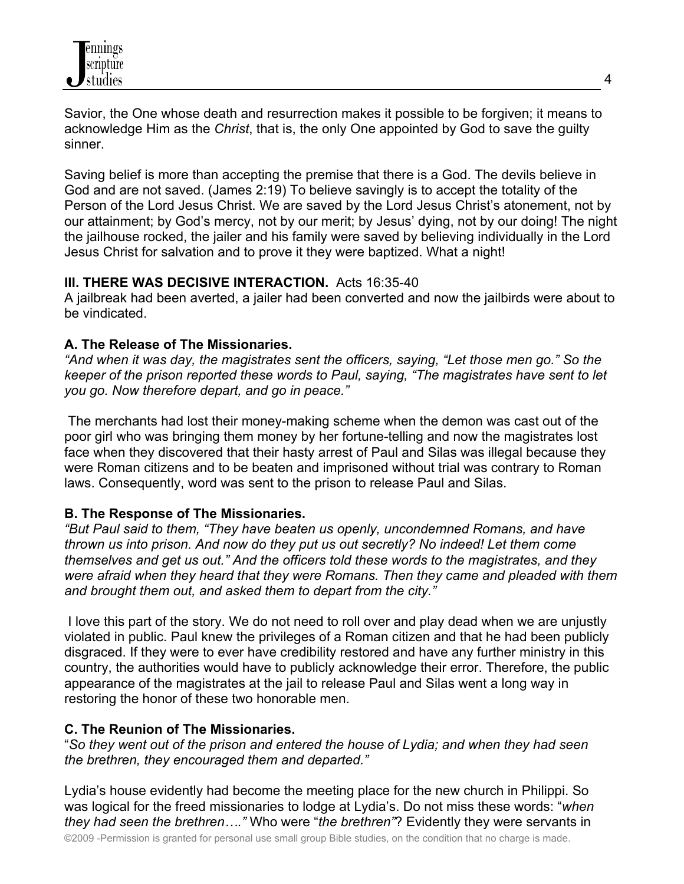Savior, the One whose death and resurrection makes it possible to be forgiven; it means to acknowledge Him as the *Christ*, that is, the only One appointed by God to save the guilty sinner.

Saving belief is more than accepting the premise that there is a God. The devils believe in God and are not saved. (James 2:19) To believe savingly is to accept the totality of the Person of the Lord Jesus Christ. We are saved by the Lord Jesus Christ's atonement, not by our attainment; by God's mercy, not by our merit; by Jesus' dying, not by our doing! The night the jailhouse rocked, the jailer and his family were saved by believing individually in the Lord Jesus Christ for salvation and to prove it they were baptized. What a night!

## **III. THERE WAS DECISIVE INTERACTION.** Acts 16:35-40

A jailbreak had been averted, a jailer had been converted and now the jailbirds were about to be vindicated.

## **A. The Release of The Missionaries.**

*"And when it was day, the magistrates sent the officers, saying, "Let those men go." So the keeper of the prison reported these words to Paul, saying, "The magistrates have sent to let you go. Now therefore depart, and go in peace."*

The merchants had lost their money-making scheme when the demon was cast out of the poor girl who was bringing them money by her fortune-telling and now the magistrates lost face when they discovered that their hasty arrest of Paul and Silas was illegal because they were Roman citizens and to be beaten and imprisoned without trial was contrary to Roman laws. Consequently, word was sent to the prison to release Paul and Silas.

# **B. The Response of The Missionaries.**

*"But Paul said to them, "They have beaten us openly, uncondemned Romans, and have thrown us into prison. And now do they put us out secretly? No indeed! Let them come themselves and get us out." And the officers told these words to the magistrates, and they were afraid when they heard that they were Romans. Then they came and pleaded with them and brought them out, and asked them to depart from the city."*

I love this part of the story. We do not need to roll over and play dead when we are unjustly violated in public. Paul knew the privileges of a Roman citizen and that he had been publicly disgraced. If they were to ever have credibility restored and have any further ministry in this country, the authorities would have to publicly acknowledge their error. Therefore, the public appearance of the magistrates at the jail to release Paul and Silas went a long way in restoring the honor of these two honorable men.

# **C. The Reunion of The Missionaries.**

"*So they went out of the prison and entered the house of Lydia; and when they had seen the brethren, they encouraged them and departed."*

Lydia's house evidently had become the meeting place for the new church in Philippi. So was logical for the freed missionaries to lodge at Lydia's. Do not miss these words: "*when they had seen the brethren…."* Who were "*the brethren"*? Evidently they were servants in